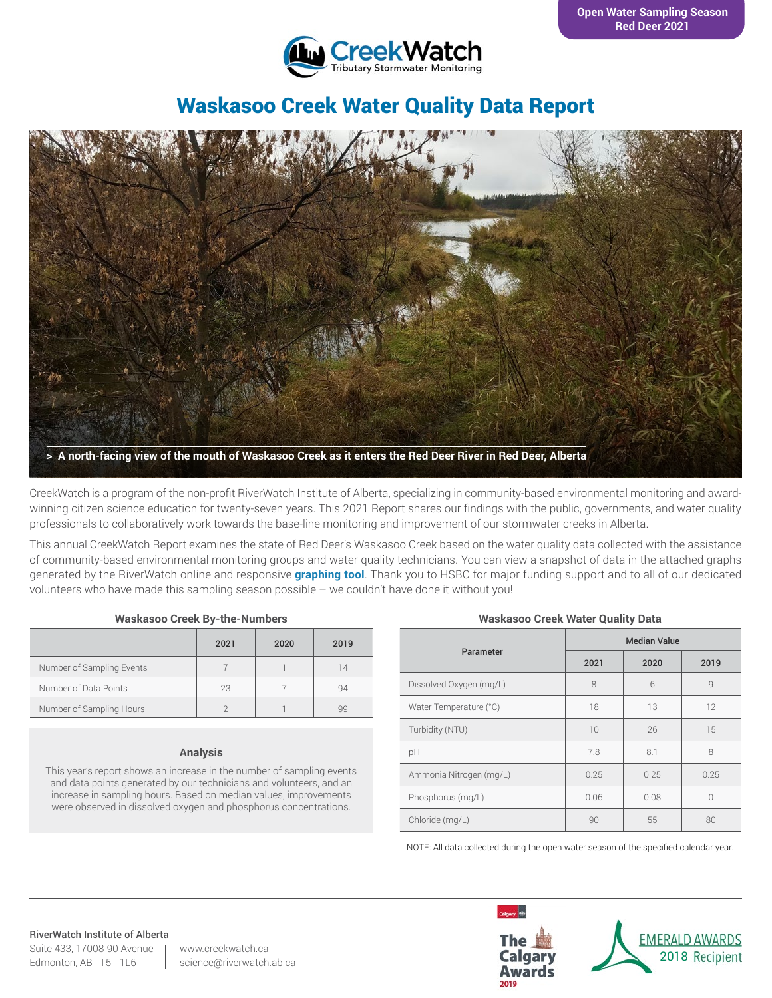

# Waskasoo Creek Water Quality Data Report



CreekWatch is a program of the non-profit RiverWatch Institute of Alberta, specializing in community-based environmental monitoring and awardwinning citizen science education for twenty-seven years. This 2021 Report shares our findings with the public, governments, and water quality professionals to collaboratively work towards the base-line monitoring and improvement of our stormwater creeks in Alberta.

This annual CreekWatch Report examines the state of Red Deer's Waskasoo Creek based on the water quality data collected with the assistance of community-based environmental monitoring groups and water quality technicians. You can view a snapshot of data in the attached graphs generated by the RiverWatch online and responsive **[graphing tool](http://www.riverwatch.ab.ca/index.php/science/data)**. Thank you to HSBC for major funding support and to all of our dedicated volunteers who have made this sampling season possible – we couldn't have done it without you!

| <b>Waskasoo Creek By-the-Numbers</b> |  |  |  |
|--------------------------------------|--|--|--|
|--------------------------------------|--|--|--|

|                           | 2021 | 2020 | 2019 |
|---------------------------|------|------|------|
| Number of Sampling Events |      |      | 14   |
| Number of Data Points     | 23   |      | 94   |
| Number of Sampling Hours  |      |      | qq   |

#### **Analysis**

This year's report shows an increase in the number of sampling events and data points generated by our technicians and volunteers, and an increase in sampling hours. Based on median values, improvements were observed in dissolved oxygen and phosphorus concentrations.

#### **Waskasoo Creek Water Quality Data**

|                         | <b>Median Value</b> |      |      |  |
|-------------------------|---------------------|------|------|--|
| Parameter               | 2021                | 2020 | 2019 |  |
| Dissolved Oxygen (mg/L) | 8                   | 6    | 9    |  |
| Water Temperature (°C)  | 18                  | 13   | 12   |  |
| Turbidity (NTU)         | 10                  | 26   | 15   |  |
| рH                      | 7.8                 | 8.1  | 8    |  |
| Ammonia Nitrogen (mg/L) | 0.25                | 0.25 | 0.25 |  |
| Phosphorus (mg/L)       | 0.06                | 0.08 | 0    |  |
| Chloride (mg/L)         | 90                  | 55   | 80   |  |

NOTE: All data collected during the open water season of the specified calendar year.

#### RiverWatch Institute of Alberta

Suite 433, 17008-90 Avenue Edmonton, AB T5T 1L6

www.creekwatch.ca science@riverwatch.ab.ca